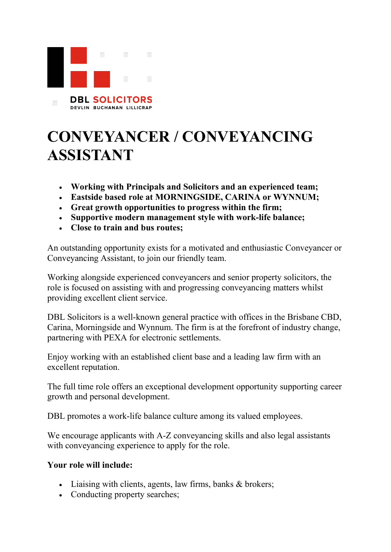

## **CONVEYANCER / CONVEYANCING ASSISTANT**

- **Working with Principals and Solicitors and an experienced team;**
- **Eastside based role at MORNINGSIDE, CARINA or WYNNUM;**
- **Great growth opportunities to progress within the firm;**
- **Supportive modern management style with work-life balance;**
- **Close to train and bus routes;**

An outstanding opportunity exists for a motivated and enthusiastic Conveyancer or Conveyancing Assistant, to join our friendly team.

Working alongside experienced conveyancers and senior property solicitors, the role is focused on assisting with and progressing conveyancing matters whilst providing excellent client service.

DBL Solicitors is a well-known general practice with offices in the Brisbane CBD, Carina, Morningside and Wynnum. The firm is at the forefront of industry change, partnering with PEXA for electronic settlements.

Enjoy working with an established client base and a leading law firm with an excellent reputation.

The full time role offers an exceptional development opportunity supporting career growth and personal development.

DBL promotes a work-life balance culture among its valued employees.

We encourage applicants with A-Z conveyancing skills and also legal assistants with conveyancing experience to apply for the role.

## **Your role will include:**

- Liaising with clients, agents, law firms, banks & brokers;
- Conducting property searches;